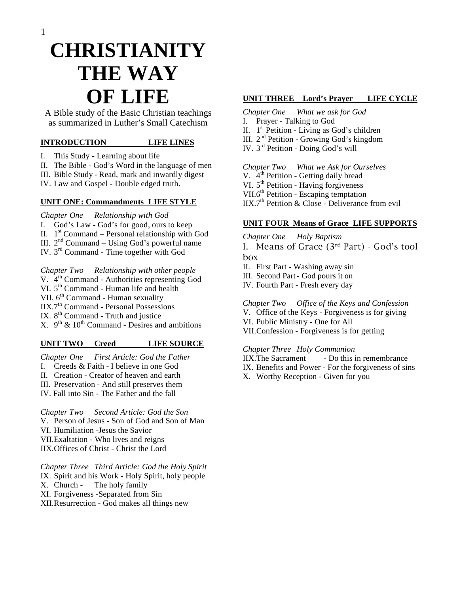# **CHRISTIANITY THE WAY OF LIFE**

A Bible study of the Basic Christian teachings as summarized in Luther's Small Catechism

#### **INTRODUCTION LIFE LINES**

- I. This Study Learning about life
- II. The Bible God's Word in the language of men
- III. Bible Study Read, mark and inwardly digest
- IV. Law and Gospel Double edged truth.

#### **UNIT ONE: Commandments LIFE STYLE**

- *Chapter One Relationship with God*
- I. God's Law God's for good, ours to keep
- II.  $1<sup>st</sup> Command Personal relationship with God$
- III.  $2<sup>nd</sup> Command Using God's powerful name$
- IV. 3rd Command Time together with God
- *Chapter Two Relationship with other people*
- V.  $4<sup>th</sup>$  Command Authorities representing God
- VI.  $5<sup>th</sup> Command Human life and health$
- VII.  $6<sup>th</sup>$  Command Human sexuality
- $IIX.7<sup>th</sup> Command Personal Possessions$
- IX.  $8<sup>th</sup>$  Command Truth and justice
- X.  $9<sup>th</sup>$  &  $10<sup>th</sup>$  Command Desires and ambitions

#### **UNIT TWO Creed LIFE SOURCE**

- *Chapter One First Article: God the Father*
- I. Creeds & Faith I believe in one God
- II. Creation Creator of heaven and earth
- III. Preservation And still preserves them
- IV. Fall into Sin The Father and the fall

*Chapter Two Second Article: God the Son* 

- V. Person of Jesus Son of God and Son of Man
- VI. Humiliation -Jesus the Savior
- VII.Exaltation Who lives and reigns
- IIX.Offices of Christ Christ the Lord

*Chapter Three Third Article: God the Holy Spirit* 

- IX. Spirit and his Work Holy Spirit, holy people
- X. Church The holy family
- XI. Forgiveness -Separated from Sin
- XII.Resurrection God makes all things new

## **UNIT THREE Lord's Prayer LIFE CYCLE**

- *Chapter One What we ask for God*
- I. Prayer Talking to God
- II.  $1<sup>st</sup>$  Petition Living as God's children
- III. 2<sup>nd</sup> Petition Growing God's kingdom
- IV. 3<sup>rd</sup> Petition Doing God's will

*Chapter Two What we Ask for Ourselves* 

- V.  $4<sup>th</sup>$  Petition Getting daily bread
- VI.  $5<sup>th</sup>$  Petition Having forgiveness
- VII.6<sup>th</sup> Petition Escaping temptation
- $IIX.7<sup>th</sup>$  Petition & Close Deliverance from evil

### **UNIT FOUR Means of Grace LIFE SUPPORTS**

*Chapter One Holy Baptism* 

I. Means of Grace (3rd Part) - God's tool box

- II. First Part Washing away sin
- III. Second Part God pours it on
- IV. Fourth Part Fresh every day

#### *Chapter Two Office of the Keys and Confession*

V. Office of the Keys - Forgiveness is for giving

- VI. Public Ministry One for All
- VII.Confession Forgiveness is for getting

#### *Chapter Three Holy Communion*

- IIX. The Sacrament Do this in remembrance IX. Benefits and Power - For the forgiveness of sins
- 
- X. Worthy Reception Given for you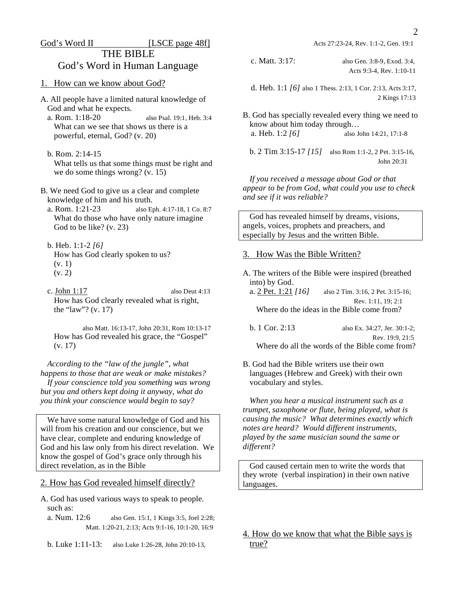#### God's Word II [LSCE page 48f]

THE BIBLE God's Word in Human Language

- 1. How can we know about God?
- A. All people have a limited natural knowledge of God and what he expects.
	- a. Rom. 1:18-20 also Psal. 19:1, Heb. 3:4 What can we see that shows us there is a powerful, eternal, God? (v. 20)
	- b. Rom. 2:14-15 What tells us that some things must be right and we do some things wrong? (v. 15)
- B. We need God to give us a clear and complete knowledge of him and his truth.
	- a. Rom. 1:21-23 also Eph. 4:17-18, 1 Co. 8:7 What do those who have only nature imagine God to be like? (v. 23)
	- b. Heb. 1:1-2 *[6]*  How has God clearly spoken to us? (v. 1) (v. 2)
	- c. John 1:17 also Deut 4:13 How has God clearly revealed what is right, the "law"? (v. 17)

 also Matt. 16:13-17, John 20:31, Rom 10:13-17 How has God revealed his grace, the "Gospel" (v. 17)

 *According to the "law of the jungle", what happens to those that are weak or make mistakes? If your conscience told you something was wrong but you and others kept doing it anyway, what do you think your conscience would begin to say?* 

 We have some natural knowledge of God and his will from his creation and our conscience, but we have clear, complete and enduring knowledge of God and his law only from his direct revelation. We know the gospel of God's grace only through his direct revelation, as in the Bible

2. How has God revealed himself directly?

- A. God has used various ways to speak to people. such as:
	- a. Num. 12:6 also Gen. 15:1, 1 Kings 3:5, Joel 2:28; Matt. 1:20-21, 2:13; Acts 9:1-16, 10:1-20, 16:9
	- b. Luke 1:11-13: also Luke 1:26-28, John 20:10-13,

Acts 27:23-24, Rev. 1:1-2, Gen. 19:1

 c. Matt. 3:17: also Gen. 3:8-9, Exod. 3:4, Acts 9:3-4, Rev. 1:10-11

 d. Heb. 1:1 *[6]* also 1 Thess. 2:13, 1 Cor. 2:13, Acts 3:17, 2 Kings 17:13

B. God has specially revealed every thing we need to know about him today through… a. Heb. 1:2 *[6]* also John 14:21, 17:1-8

 b. 2 Tim 3:15-17 *[15]* also Rom 1:1-2, 2 Pet. 3:15-16, John 20:31

 *If you received a message about God or that appear to be from God, what could you use to check and see if it was reliable?* 

 God has revealed himself by dreams, visions, angels, voices, prophets and preachers, and especially by Jesus and the written Bible.

#### 3. How Was the Bible Written?

A. The writers of the Bible were inspired (breathed into) by God. a. 2 Pet. 1:21 *[16]* also 2 Tim. 3:16, 2 Pet. 3:15-16; Rev. 1:11, 19; 2:1 Where do the ideas in the Bible come from?

| b. 1 Cor. 2:13 | also Ex. 34:27. Jer. 30:1-2:                   |
|----------------|------------------------------------------------|
|                | Rev. 19:9, 21:5                                |
|                | Where do all the words of the Bible come from? |

B. God had the Bible writers use their own languages (Hebrew and Greek) with their own vocabulary and styles.

 *When you hear a musical instrument such as a trumpet, saxophone or flute, being played, what is causing the music? What determines exactly which notes are heard? Would different instruments, played by the same musician sound the same or different?* 

 God caused certain men to write the words that they wrote (verbal inspiration) in their own native languages.

4. How do we know that what the Bible says is true?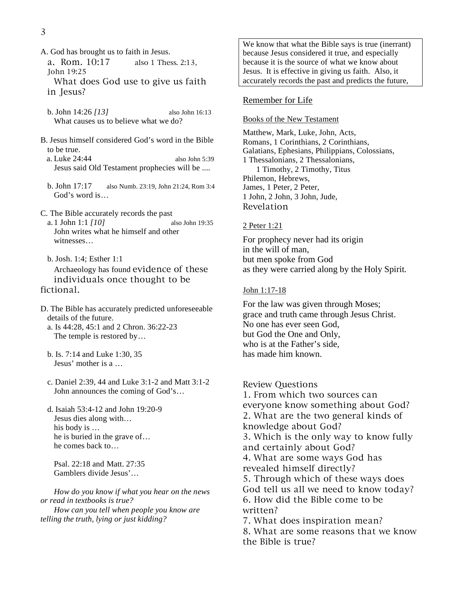- A. God has brought us to faith in Jesus.
	- a. Rom. 10:17 also 1 Thess. 2:13, John 19:25

 What does God use to give us faith in Jesus?

- b. John 14:26 *[13]* also John 16:13 What causes us to believe what we do?
- B. Jesus himself considered God's word in the Bible to be true.
	- a. Luke 24:44 also John 5:39 Jesus said Old Testament prophecies will be ....
	- b. John 17:17 also Numb. 23:19, John 21:24, Rom 3:4 God's word is…
- C. The Bible accurately records the past a. 1 John 1:1 *[10]* also John 19:35 John writes what he himself and other witnesses…
- b. Josh. 1:4; Esther 1:1 Archaeology has found evidence of these individuals once thought to be fictional.
- D. The Bible has accurately predicted unforeseeable details of the future.
	- a. Is 44:28, 45:1 and 2 Chron. 36:22-23 The temple is restored by…
	- b. Is. 7:14 and Luke 1:30, 35 Jesus' mother is a …
	- c. Daniel 2:39, 44 and Luke 3:1-2 and Matt 3:1-2 John announces the coming of God's…
	- d. Isaiah 53:4-12 and John 19:20-9 Jesus dies along with… his body is … he is buried in the grave of… he comes back to…

 Psal. 22:18 and Matt. 27:35 Gamblers divide Jesus'…

 *How do you know if what you hear on the news or read in textbooks is true? How can you tell when people you know are* 

*telling the truth, lying or just kidding?* 

We know that what the Bible says is true (inerrant) because Jesus considered it true, and especially because it is the source of what we know about Jesus. It is effective in giving us faith. Also, it accurately records the past and predicts the future,

#### Remember for Life

#### Books of the New Testament

Matthew, Mark, Luke, John, Acts, Romans, 1 Corinthians, 2 Corinthians, Galatians, Ephesians, Philippians, Colossians, 1 Thessalonians, 2 Thessalonians, 1 Timothy, 2 Timothy, Titus Philemon, Hebrews, James, 1 Peter, 2 Peter, 1 John, 2 John, 3 John, Jude, Revelation

#### 2 Peter 1:21

For prophecy never had its origin in the will of man, but men spoke from God as they were carried along by the Holy Spirit.

#### John 1:17-18

For the law was given through Moses; grace and truth came through Jesus Christ. No one has ever seen God, but God the One and Only, who is at the Father's side, has made him known.

#### Review Questions

1. From which two sources can everyone know something about God? 2. What are the two general kinds of knowledge about God? 3. Which is the only way to know fully and certainly about God? 4. What are some ways God has revealed himself directly? 5. Through which of these ways does God tell us all we need to know today? 6. How did the Bible come to be written? 7. What does inspiration mean?

8. What are some reasons that we know the Bible is true?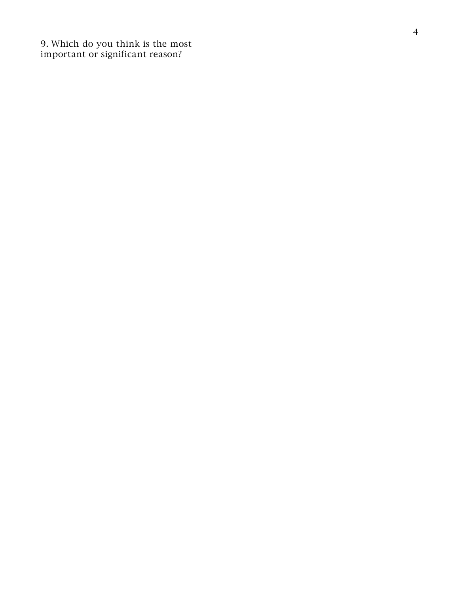9. Which do you think is the most important or significant reason?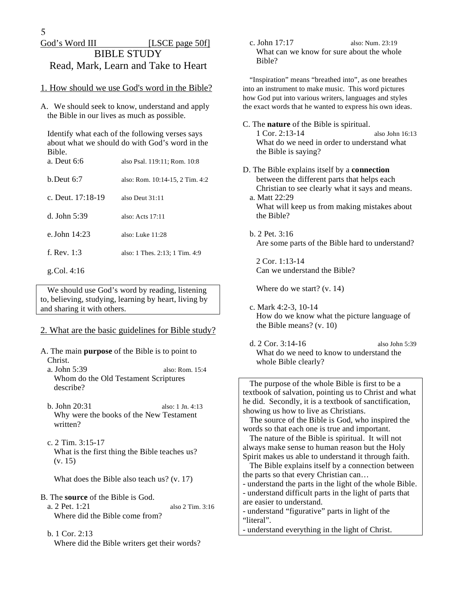# God's Word III [LSCE page 50f] BIBLE STUDY Read, Mark, Learn and Take to Heart

#### 1. How should we use God's word in the Bible?

A. We should seek to know, understand and apply the Bible in our lives as much as possible.

 Identify what each of the following verses says about what we should do with God's word in the Bible.

| a. Deut 6:6         | also Psal. 119:11; Rom. 10:8    |
|---------------------|---------------------------------|
| h Deut 6:7          | also: Rom. 10:14-15, 2 Tim. 4:2 |
| c. Deut. $17:18-19$ | also Deut 31:11                 |
| d. John 5:39        | also: Acts $17:11$              |
| e. John $14:23$     | also: Luke 11:28                |
| f. Rev. $1:3$       | also: 1 Thes. 2:13; 1 Tim. 4:9  |
|                     |                                 |

#### g. Col. 4:16

 We should use God's word by reading, listening to, believing, studying, learning by heart, living by and sharing it with others.

#### 2. What are the basic guidelines for Bible study?

- A. The main **purpose** of the Bible is to point to Christ.
	- a. John 5:39 also: Rom. 15:4 Whom do the Old Testament Scriptures describe?
	- b. John 20:31 also: 1 Jn. 4:13 Why were the books of the New Testament written?
	- c. 2 Tim. 3:15-17 What is the first thing the Bible teaches us? (v. 15)

What does the Bible also teach us? (v. 17)

- B. The **source** of the Bible is God.
	- a. 2 Pet. 1:21 also 2 Tim. 3:16 Where did the Bible come from?
	- b. 1 Cor. 2:13 Where did the Bible writers get their words?

 c. John 17:17 also: Num. 23:19 What can we know for sure about the whole Bible?

 "Inspiration" means "breathed into", as one breathes into an instrument to make music. This word pictures how God put into various writers, languages and styles the exact words that he wanted to express his own ideas.

- C. The **nature** of the Bible is spiritual. 1 Cor. 2:13-14 also John 16:13 What do we need in order to understand what the Bible is saying?
- D. The Bible explains itself by a **connection** between the different parts that helps each Christian to see clearly what it says and means. a. Matt 22:29
	- What will keep us from making mistakes about the Bible?
	- b. 2 Pet. 3:16 Are some parts of the Bible hard to understand?

 2 Cor. 1:13-14 Can we understand the Bible?

Where do we start? (v. 14)

- c. Mark 4:2-3, 10-14 How do we know what the picture language of the Bible means? (v. 10)
- d. 2 Cor. 3:14-16 also John 5:39 What do we need to know to understand the whole Bible clearly?

 The purpose of the whole Bible is first to be a textbook of salvation, pointing us to Christ and what he did. Secondly, it is a textbook of sanctification, showing us how to live as Christians.

 The source of the Bible is God, who inspired the words so that each one is true and important.

 The nature of the Bible is spiritual. It will not always make sense to human reason but the Holy Spirit makes us able to understand it through faith.

 The Bible explains itself by a connection between the parts so that every Christian can…

- understand the parts in the light of the whole Bible. - understand difficult parts in the light of parts that are easier to understand.

- understand "figurative" parts in light of the "literal".

- understand everything in the light of Christ.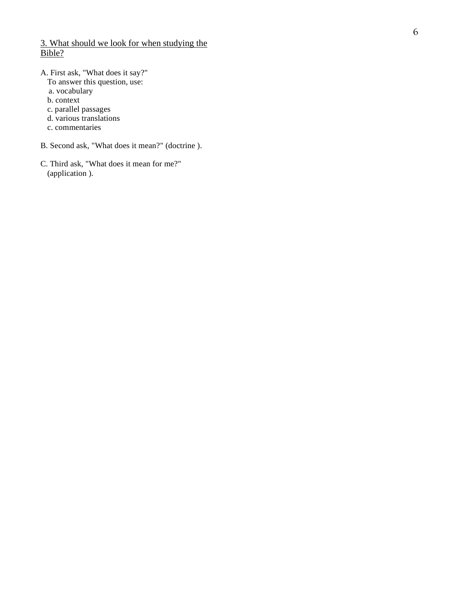#### 3. What should we look for when studying the Bible?

- A. First ask, "What does it say?"
- To answer this question, use:
	- a. vocabulary
	- b. context
	- c. parallel passages
	- d. various translations
	- c. commentaries
- B. Second ask, "What does it mean?" (doctrine ).
- C. Third ask, "What does it mean for me?" (application ).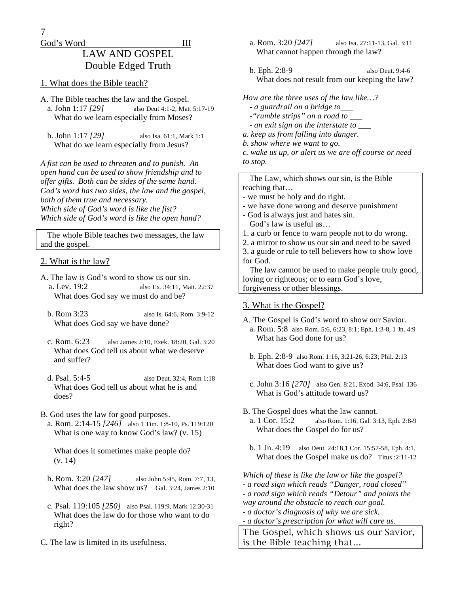7

#### God's Word III

# LAW AND GOSPEL Double Edged Truth

#### 1. What does the Bible teach?

- A. The Bible teaches the law and the Gospel. a. John 1:17 *[29]* also Deut 4:1-2, Matt 5:17-19 What do we learn especially from Moses?
	- b. John 1:17 *[29]* also Isa. 61:1, Mark 1:1 What do we learn especially from Jesus?

*A fist can be used to threaten and to punish. An open hand can be used to show friendship and to offer gifts. Both can be sides of the same hand. God's word has two sides, the law and the gospel, both of them true and necessary. Which side of God's word is like the fist? Which side of God's word is like the open hand?* 

 The whole Bible teaches two messages, the law and the gospel.

#### 2. What is the law?

- A. The law is God's word to show us our sin. a. Lev. 19:2 also Ex. 34:11, Matt. 22:37 What does God say we must do and be?
	- b. Rom 3:23 also Is. 64:6, Rom. 3:9-12 What does God say we have done?
	- c. Rom. 6:23 also James 2:10, Ezek. 18:20, Gal. 3:20 What does God tell us about what we deserve and suffer?
	- d. Psal. 5:4-5 also Deut. 32:4, Rom 1:18 What does God tell us about what he is and does?
- B. God uses the law for good purposes.
	- a. Rom. 2:14-15 *[246]* also 1 Tim. 1:8-10, Ps. 119:120 What is one way to know God's law? (v. 15)

 What does it sometimes make people do? (v. 14)

- b. Rom. 3:20 *[247]* also John 5:45, Rom. 7:7, 13, What does the law show us? Gal. 3:24, James 2:10
- c. Psal. 119:105 *[250]* also Psal. 119:9, Mark 12:30-31 What does the law do for those who want to do right?
- C. The law is limited in its usefulness.
- a. Rom. 3:20 *[247]* also Isa. 27:11-13, Gal. 3:11 What cannot happen through the law?
- b. Eph. 2:8-9 also Deut. 9:4-6 What does not result from our keeping the law?

*How are the three uses of the law like…?* 

- *a guardrail on a bridge to\_\_\_*
- *-"rumble strips" on a road to \_\_\_*
- *an exit sign on the interstate to \_\_\_*
- *a. keep us from falling into danger.*
- *b. show where we want to go.*
- *c. wake us up, or alert us we are off course or need to stop.*

 The Law, which shows our sin, is the Bible teaching that…

- we must be holy and do right.
- we have done wrong and deserve punishment
- God is always just and hates sin. God's law is useful as…
- 1. a curb or fence to warn people not to do wrong.
- 2. a mirror to show us our sin and need to be saved 3. a guide or rule to tell believers how to show love
- for God.

 The law cannot be used to make people truly good, loving or righteous; or to earn God's love, forgiveness or other blessings.

#### 3. What is the Gospel?

- A. The Gospel is God's word to show our Savior. a. Rom. 5:8 also Rom. 5:6, 6:23, 8:1; Eph. 1:3-8, 1 Jn. 4:9 What has God done for us?
	- b. Eph. 2:8-9 also Rom. 1:16, 3:21-26, 6:23; Phil. 2:13 What does God want to give us?
	- c. John 3:16 *[270]* also Gen. 8:21, Exod. 34:6, Psal. 136 What is God's attitude toward us?
- B. The Gospel does what the law cannot.
- a. 1 Cor. 15:2 also Rom. 1:16, Gal. 3:13, Eph. 2:8-9 What does the Gospel do for us?
- b. 1 Jn. 4:19 also Deut. 24:18,1 Cor. 15:57-58, Eph. 4:1, What does the Gospel make us do? Titus :2:11-12

*Which of these is like the law or like the gospel? - a road sign which reads "Danger, road closed" - a road sign which reads "Detour" and points the way around the obstacle to reach our goal.* 

*- a doctor's diagnosis of why we are sick. - a doctor's prescription for what will cure us.*

The Gospel, which shows us our Savior, is the Bible teaching that…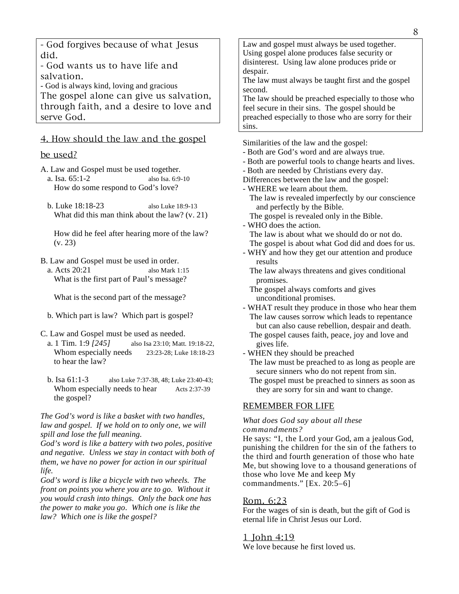- God forgives because of what Jesus did.

- God wants us to have life and salvation.

- God is always kind, loving and gracious

The gospel alone can give us salvation, through faith, and a desire to love and serve God.

### 4. How should the law and the gospel

#### be used?

- A. Law and Gospel must be used together.
	- a. Isa. 65:1-2 also Isa. 6:9-10 How do some respond to God's love?
	- b. Luke 18:18-23 also Luke 18:9-13 What did this man think about the law? (v. 21)

 How did he feel after hearing more of the law? (v. 23)

B. Law and Gospel must be used in order.

 a. Acts 20:21 also Mark 1:15 What is the first part of Paul's message?

What is the second part of the message?

- b. Which part is law? Which part is gospel?
- C. Law and Gospel must be used as needed.
	- a. 1 Tim. 1:9 *[245]* also Isa 23:10; Matt. 19:18-22, Whom especially needs 23:23-28; Luke 18:18-23 to hear the law?
	- b. Isa 61:1-3 also Luke 7:37-38, 48; Luke 23:40-43; Whom especially needs to hear Acts 2:37-39 the gospel?

#### *The God's word is like a basket with two handles, law and gospel. If we hold on to only one, we will spill and lose the full meaning.*

*God's word is like a battery with two poles, positive and negative. Unless we stay in contact with both of them, we have no power for action in our spiritual life.* 

*God's word is like a bicycle with two wheels. The front on points you where you are to go. Without it you would crash into things. Only the back one has the power to make you go. Which one is like the law? Which one is like the gospel?* 

Law and gospel must always be used together. Using gospel alone produces false security or disinterest. Using law alone produces pride or despair.

The law must always be taught first and the gospel second.

The law should be preached especially to those who feel secure in their sins. The gospel should be preached especially to those who are sorry for their sins.

Similarities of the law and the gospel:

- Both are God's word and are always true.
- Both are powerful tools to change hearts and lives.
- Both are needed by Christians every day.
- Differences between the law and the gospel:
- WHERE we learn about them.
	- The law is revealed imperfectly by our conscience and perfectly by the Bible.
	- The gospel is revealed only in the Bible.
- WHO does the action. The law is about what we should do or not do. The gospel is about what God did and does for us.
- WHY and how they get our attention and produce results
	- The law always threatens and gives conditional promises.
	- The gospel always comforts and gives unconditional promises.
- WHAT result they produce in those who hear them The law causes sorrow which leads to repentance but can also cause rebellion, despair and death.
	- The gospel causes faith, peace, joy and love and gives life.

- WHEN they should be preached

- The law must be preached to as long as people are secure sinners who do not repent from sin.
- The gospel must be preached to sinners as soon as they are sorry for sin and want to change.

#### REMEMBER FOR LIFE

#### *What does God say about all these commandments?*

He says: "I, the Lord your God, am a jealous God, punishing the children for the sin of the fathers to the third and fourth generation of those who hate Me, but showing love to a thousand generations of those who love Me and keep My commandments." [Ex. 20:5–6]

#### Rom. 6:23

For the wages of sin is death, but the gift of God is eternal life in Christ Jesus our Lord.

#### 1 John 4:19

We love because he first loved us.